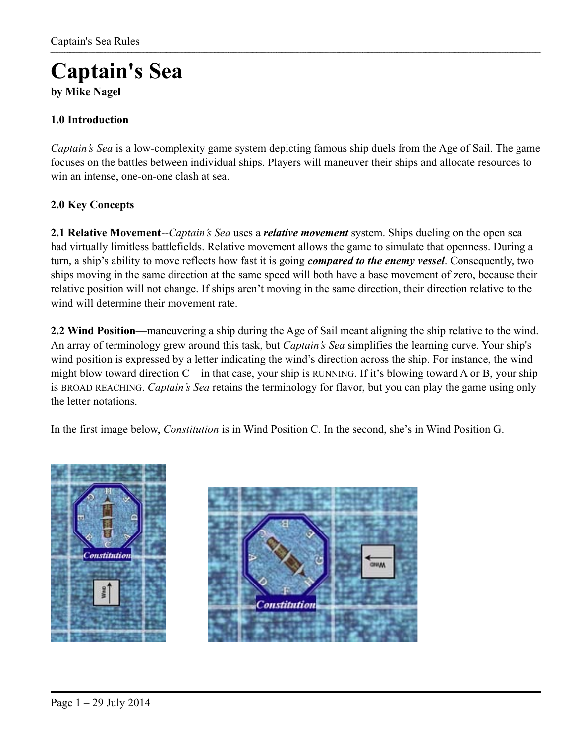# **Captain's Sea**

**by Mike Nagel** 

## **1.0 Introduction**

*Captain's Sea* is a low-complexity game system depicting famous ship duels from the Age of Sail. The game focuses on the battles between individual ships. Players will maneuver their ships and allocate resources to win an intense, one-on-one clash at sea.

## **2.0 Key Concepts**

**2.1 Relative Movement***--Captain's Sea* uses a *relative movement* system. Ships dueling on the open sea had virtually limitless battlefields. Relative movement allows the game to simulate that openness. During a turn, a ship's ability to move reflects how fast it is going *compared to the enemy vessel*. Consequently, two ships moving in the same direction at the same speed will both have a base movement of zero, because their relative position will not change. If ships aren't moving in the same direction, their direction relative to the wind will determine their movement rate.

**2.2 Wind Position**—maneuvering a ship during the Age of Sail meant aligning the ship relative to the wind. An array of terminology grew around this task, but *Captain's Sea* simplifies the learning curve. Your ship's wind position is expressed by a letter indicating the wind's direction across the ship. For instance, the wind might blow toward direction C—in that case, your ship is RUNNING. If it's blowing toward A or B, your ship is BROAD REACHING. *Captain's Sea* retains the terminology for flavor, but you can play the game using only the letter notations.

In the first image below, *Constitution* is in Wind Position C. In the second, she's in Wind Position G.



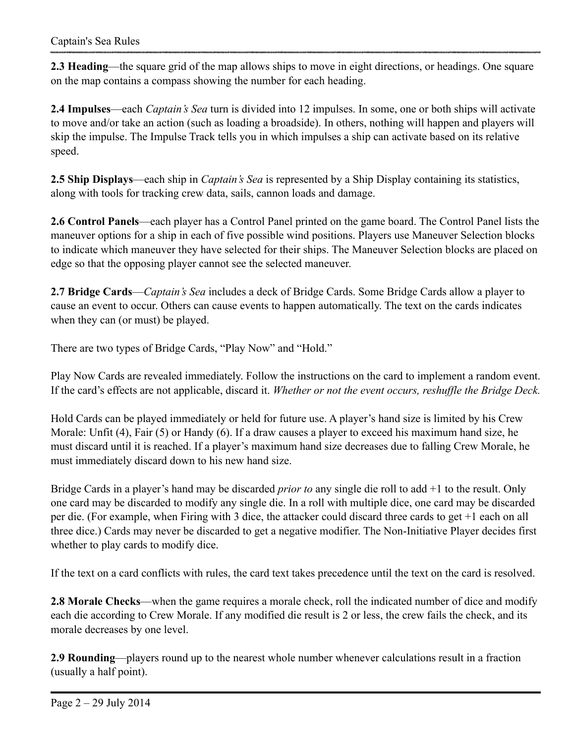**2.3 Heading**—the square grid of the map allows ships to move in eight directions, or headings. One square on the map contains a compass showing the number for each heading.

**2.4 Impulses**—each *Captain's Sea* turn is divided into 12 impulses. In some, one or both ships will activate to move and/or take an action (such as loading a broadside). In others, nothing will happen and players will skip the impulse. The Impulse Track tells you in which impulses a ship can activate based on its relative speed.

**2.5 Ship Displays**—each ship in *Captain's Sea* is represented by a Ship Display containing its statistics, along with tools for tracking crew data, sails, cannon loads and damage.

**2.6 Control Panels**—each player has a Control Panel printed on the game board. The Control Panel lists the maneuver options for a ship in each of five possible wind positions. Players use Maneuver Selection blocks to indicate which maneuver they have selected for their ships. The Maneuver Selection blocks are placed on edge so that the opposing player cannot see the selected maneuver.

**2.7 Bridge Cards**—*Captain's Sea* includes a deck of Bridge Cards. Some Bridge Cards allow a player to cause an event to occur. Others can cause events to happen automatically. The text on the cards indicates when they can (or must) be played.

There are two types of Bridge Cards, "Play Now" and "Hold."

Play Now Cards are revealed immediately. Follow the instructions on the card to implement a random event. If the card's effects are not applicable, discard it. *Whether or not the event occurs, reshuffle the Bridge Deck.* 

Hold Cards can be played immediately or held for future use. A player's hand size is limited by his Crew Morale: Unfit (4), Fair (5) or Handy (6). If a draw causes a player to exceed his maximum hand size, he must discard until it is reached. If a player's maximum hand size decreases due to falling Crew Morale, he must immediately discard down to his new hand size.

Bridge Cards in a player's hand may be discarded *prior to* any single die roll to add +1 to the result. Only one card may be discarded to modify any single die. In a roll with multiple dice, one card may be discarded per die. (For example, when Firing with 3 dice, the attacker could discard three cards to get +1 each on all three dice.) Cards may never be discarded to get a negative modifier. The Non-Initiative Player decides first whether to play cards to modify dice.

If the text on a card conflicts with rules, the card text takes precedence until the text on the card is resolved.

**2.8 Morale Checks**—when the game requires a morale check, roll the indicated number of dice and modify each die according to Crew Morale. If any modified die result is 2 or less, the crew fails the check, and its morale decreases by one level.

**2.9 Rounding**—players round up to the nearest whole number whenever calculations result in a fraction (usually a half point).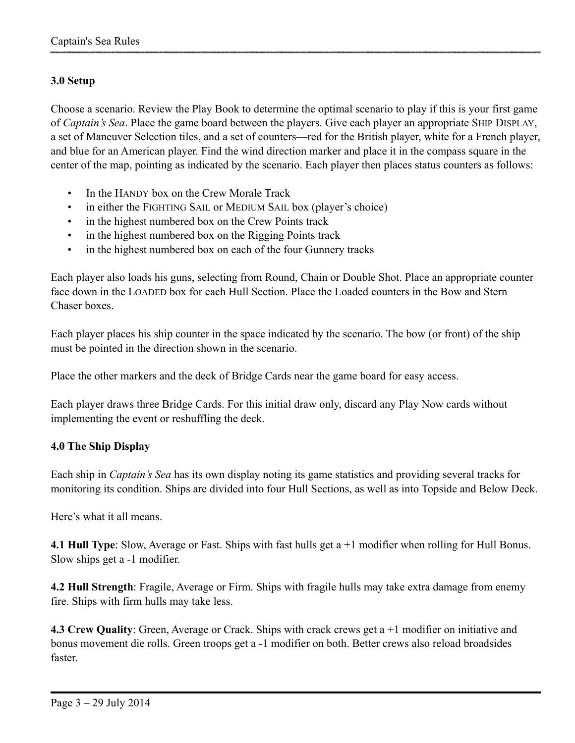## **3.0 Setup**

Choose a scenario. Review the Play Book to determine the optimal scenario to play if this is your first game of *Captain's Sea*. Place the game board between the players. Give each player an appropriate SHIP DISPLAY, a set of Maneuver Selection tiles, and a set of counters—red for the British player, white for a French player, and blue for an American player. Find the wind direction marker and place it in the compass square in the center of the map, pointing as indicated by the scenario. Each player then places status counters as follows:

- In the HANDY box on the Crew Morale Track
- in either the FIGHTING SAIL or MEDIUM SAIL box (player's choice)
- in the highest numbered box on the Crew Points track
- in the highest numbered box on the Rigging Points track
- in the highest numbered box on each of the four Gunnery tracks

Each player also loads his guns, selecting from Round, Chain or Double Shot. Place an appropriate counter face down in the LOADED box for each Hull Section. Place the Loaded counters in the Bow and Stern Chaser boxes.

Each player places his ship counter in the space indicated by the scenario. The bow (or front) of the ship must be pointed in the direction shown in the scenario.

Place the other markers and the deck of Bridge Cards near the game board for easy access.

Each player draws three Bridge Cards. For this initial draw only, discard any Play Now cards without implementing the event or reshuffling the deck.

## **4.0 The Ship Display**

Each ship in *Captain's Sea* has its own display noting its game statistics and providing several tracks for monitoring its condition. Ships are divided into four Hull Sections, as well as into Topside and Below Deck.

Here's what it all means.

**4.1 Hull Type**: Slow, Average or Fast. Ships with fast hulls get a +1 modifier when rolling for Hull Bonus. Slow ships get a -1 modifier.

**4.2 Hull Strength**: Fragile, Average or Firm. Ships with fragile hulls may take extra damage from enemy fire. Ships with firm hulls may take less.

**4.3 Crew Quality**: Green, Average or Crack. Ships with crack crews get a +1 modifier on initiative and bonus movement die rolls. Green troops get a -1 modifier on both. Better crews also reload broadsides faster.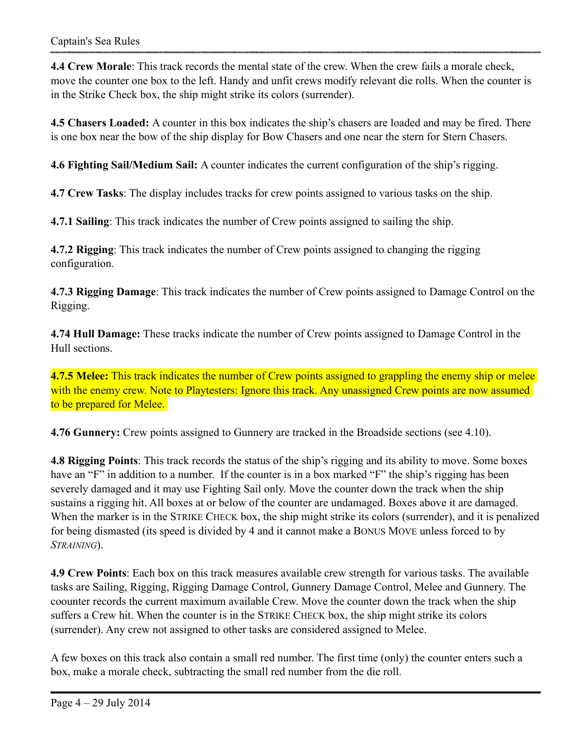**4.4 Crew Morale**: This track records the mental state of the crew. When the crew fails a morale check, move the counter one box to the left. Handy and unfit crews modify relevant die rolls. When the counter is in the Strike Check box, the ship might strike its colors (surrender).

**4.5 Chasers Loaded:** A counter in this box indicates the ship's chasers are loaded and may be fired. There is one box near the bow of the ship display for Bow Chasers and one near the stern for Stern Chasers.

**4.6 Fighting Sail/Medium Sail:** A counter indicates the current configuration of the ship's rigging.

**4.7 Crew Tasks**: The display includes tracks for crew points assigned to various tasks on the ship.

**4.7.1 Sailing**: This track indicates the number of Crew points assigned to sailing the ship.

**4.7.2 Rigging**: This track indicates the number of Crew points assigned to changing the rigging configuration.

**4.7.3 Rigging Damage**: This track indicates the number of Crew points assigned to Damage Control on the Rigging.

**4.74 Hull Damage:** These tracks indicate the number of Crew points assigned to Damage Control in the Hull sections.

**4.7.5 Melee:** This track indicates the number of Crew points assigned to grappling the enemy ship or melee with the enemy crew. Note to Playtesters: Ignore this track. Any unassigned Crew points are now assumed to be prepared for Melee.

**4.76 Gunnery:** Crew points assigned to Gunnery are tracked in the Broadside sections (see 4.10).

**4.8 Rigging Points**: This track records the status of the ship's rigging and its ability to move. Some boxes have an "F" in addition to a number. If the counter is in a box marked "F" the ship's rigging has been severely damaged and it may use Fighting Sail only. Move the counter down the track when the ship sustains a rigging hit. All boxes at or below of the counter are undamaged. Boxes above it are damaged. When the marker is in the STRIKE CHECK box, the ship might strike its colors (surrender), and it is penalized for being dismasted (its speed is divided by 4 and it cannot make a BONUS MOVE unless forced to by *STRAINING*).

**4.9 Crew Points**: Each box on this track measures available crew strength for various tasks. The available tasks are Sailing, Rigging, Rigging Damage Control, Gunnery Damage Control, Melee and Gunnery. The coounter records the current maximum available Crew. Move the counter down the track when the ship suffers a Crew hit. When the counter is in the STRIKE CHECK box, the ship might strike its colors (surrender). Any crew not assigned to other tasks are considered assigned to Melee.

A few boxes on this track also contain a small red number. The first time (only) the counter enters such a box, make a morale check, subtracting the small red number from the die roll.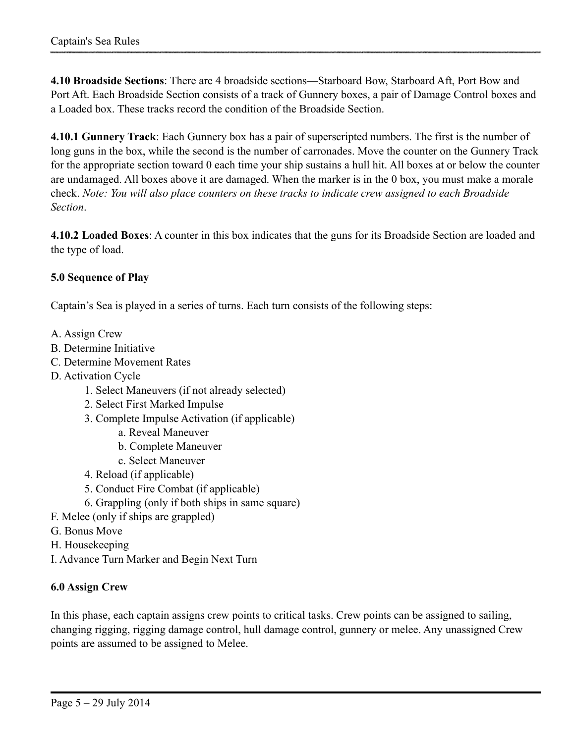**4.10 Broadside Sections**: There are 4 broadside sections—Starboard Bow, Starboard Aft, Port Bow and Port Aft. Each Broadside Section consists of a track of Gunnery boxes, a pair of Damage Control boxes and a Loaded box. These tracks record the condition of the Broadside Section.

**4.10.1 Gunnery Track**: Each Gunnery box has a pair of superscripted numbers. The first is the number of long guns in the box, while the second is the number of carronades. Move the counter on the Gunnery Track for the appropriate section toward 0 each time your ship sustains a hull hit. All boxes at or below the counter are undamaged. All boxes above it are damaged. When the marker is in the 0 box, you must make a morale check. *Note: You will also place counters on these tracks to indicate crew assigned to each Broadside Section*.

**4.10.2 Loaded Boxes**: A counter in this box indicates that the guns for its Broadside Section are loaded and the type of load.

## **5.0 Sequence of Play**

Captain's Sea is played in a series of turns. Each turn consists of the following steps:

- A. Assign Crew
- B. Determine Initiative
- C. Determine Movement Rates
- D. Activation Cycle
	- 1. Select Maneuvers (if not already selected)
	- 2. Select First Marked Impulse
	- 3. Complete Impulse Activation (if applicable)
		- a. Reveal Maneuver
		- b. Complete Maneuver
		- c. Select Maneuver
	- 4. Reload (if applicable)
	- 5. Conduct Fire Combat (if applicable)
	- 6. Grappling (only if both ships in same square)
- F. Melee (only if ships are grappled)
- G. Bonus Move
- H. Housekeeping
- I. Advance Turn Marker and Begin Next Turn

## **6.0 Assign Crew**

In this phase, each captain assigns crew points to critical tasks. Crew points can be assigned to sailing, changing rigging, rigging damage control, hull damage control, gunnery or melee. Any unassigned Crew points are assumed to be assigned to Melee.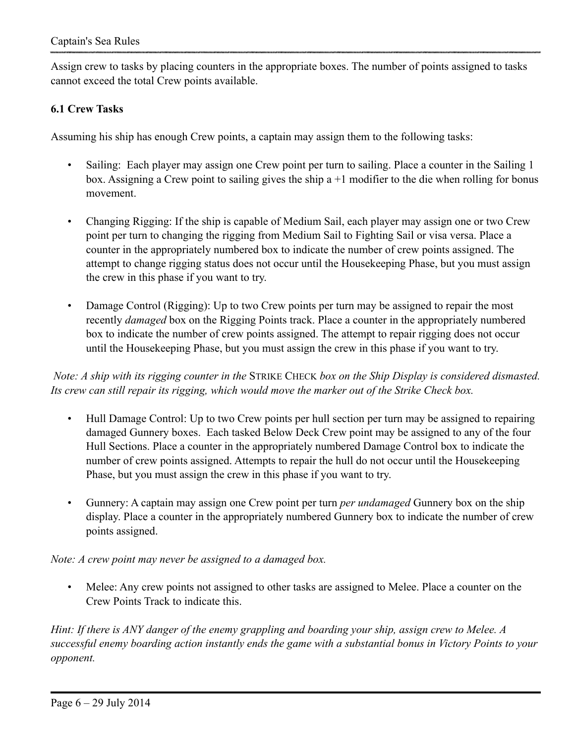Assign crew to tasks by placing counters in the appropriate boxes. The number of points assigned to tasks cannot exceed the total Crew points available.

## **6.1 Crew Tasks**

Assuming his ship has enough Crew points, a captain may assign them to the following tasks:

- Sailing: Each player may assign one Crew point per turn to sailing. Place a counter in the Sailing 1 box. Assigning a Crew point to sailing gives the ship a +1 modifier to the die when rolling for bonus movement.
- Changing Rigging: If the ship is capable of Medium Sail, each player may assign one or two Crew point per turn to changing the rigging from Medium Sail to Fighting Sail or visa versa. Place a counter in the appropriately numbered box to indicate the number of crew points assigned. The attempt to change rigging status does not occur until the Housekeeping Phase, but you must assign the crew in this phase if you want to try.
- Damage Control (Rigging): Up to two Crew points per turn may be assigned to repair the most recently *damaged* box on the Rigging Points track. Place a counter in the appropriately numbered box to indicate the number of crew points assigned. The attempt to repair rigging does not occur until the Housekeeping Phase, but you must assign the crew in this phase if you want to try.

 *Note: A ship with its rigging counter in the* STRIKE CHECK *box on the Ship Display is considered dismasted. Its crew can still repair its rigging, which would move the marker out of the Strike Check box.*

- Hull Damage Control: Up to two Crew points per hull section per turn may be assigned to repairing damaged Gunnery boxes. Each tasked Below Deck Crew point may be assigned to any of the four Hull Sections. Place a counter in the appropriately numbered Damage Control box to indicate the number of crew points assigned. Attempts to repair the hull do not occur until the Housekeeping Phase, but you must assign the crew in this phase if you want to try.
- Gunnery: A captain may assign one Crew point per turn *per undamaged* Gunnery box on the ship display. Place a counter in the appropriately numbered Gunnery box to indicate the number of crew points assigned.

*Note: A crew point may never be assigned to a damaged box.*

Melee: Any crew points not assigned to other tasks are assigned to Melee. Place a counter on the Crew Points Track to indicate this.

*Hint: If there is ANY danger of the enemy grappling and boarding your ship, assign crew to Melee. A successful enemy boarding action instantly ends the game with a substantial bonus in Victory Points to your opponent.*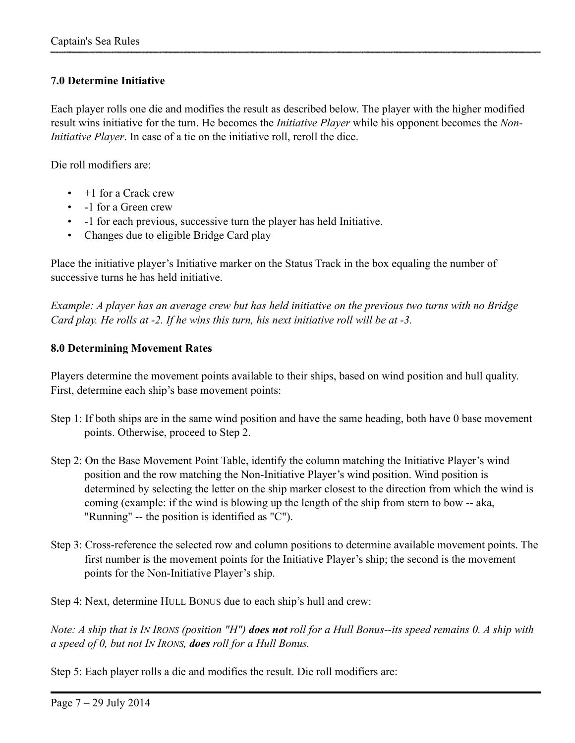## **7.0 Determine Initiative**

Each player rolls one die and modifies the result as described below. The player with the higher modified result wins initiative for the turn. He becomes the *Initiative Player* while his opponent becomes the *Non-Initiative Player*. In case of a tie on the initiative roll, reroll the dice.

Die roll modifiers are:

- +1 for a Crack crew
- -1 for a Green crew
- -1 for each previous, successive turn the player has held Initiative.
- Changes due to eligible Bridge Card play

Place the initiative player's Initiative marker on the Status Track in the box equaling the number of successive turns he has held initiative.

*Example: A player has an average crew but has held initiative on the previous two turns with no Bridge Card play. He rolls at -2. If he wins this turn, his next initiative roll will be at -3.*

#### **8.0 Determining Movement Rates**

Players determine the movement points available to their ships, based on wind position and hull quality. First, determine each ship's base movement points:

- Step 1: If both ships are in the same wind position and have the same heading, both have 0 base movement points. Otherwise, proceed to Step 2.
- Step 2: On the Base Movement Point Table, identify the column matching the Initiative Player's wind position and the row matching the Non-Initiative Player's wind position. Wind position is determined by selecting the letter on the ship marker closest to the direction from which the wind is coming (example: if the wind is blowing up the length of the ship from stern to bow -- aka, "Running" -- the position is identified as "C").
- Step 3: Cross-reference the selected row and column positions to determine available movement points. The first number is the movement points for the Initiative Player's ship; the second is the movement points for the Non-Initiative Player's ship.

Step 4: Next, determine HULL BONUS due to each ship's hull and crew:

*Note: A ship that is IN IRONS (position "H") does not roll for a Hull Bonus--its speed remains 0. A ship with a speed of 0, but not IN IRONS, does roll for a Hull Bonus.* 

Step 5: Each player rolls a die and modifies the result. Die roll modifiers are: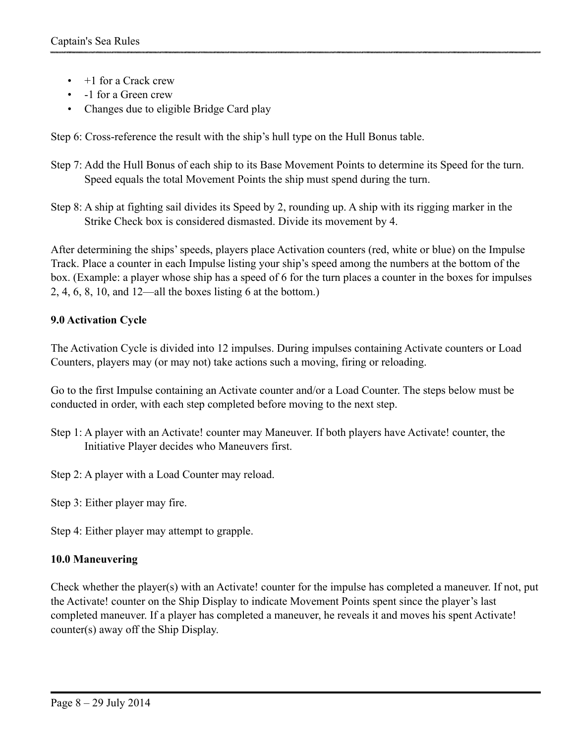- +1 for a Crack crew
- -1 for a Green crew
- Changes due to eligible Bridge Card play

Step 6: Cross-reference the result with the ship's hull type on the Hull Bonus table.

- Step 7: Add the Hull Bonus of each ship to its Base Movement Points to determine its Speed for the turn. Speed equals the total Movement Points the ship must spend during the turn.
- Step 8: A ship at fighting sail divides its Speed by 2, rounding up. A ship with its rigging marker in the Strike Check box is considered dismasted. Divide its movement by 4.

After determining the ships' speeds, players place Activation counters (red, white or blue) on the Impulse Track. Place a counter in each Impulse listing your ship's speed among the numbers at the bottom of the box. (Example: a player whose ship has a speed of 6 for the turn places a counter in the boxes for impulses 2, 4, 6, 8, 10, and 12—all the boxes listing 6 at the bottom.)

# **9.0 Activation Cycle**

The Activation Cycle is divided into 12 impulses. During impulses containing Activate counters or Load Counters, players may (or may not) take actions such a moving, firing or reloading.

Go to the first Impulse containing an Activate counter and/or a Load Counter. The steps below must be conducted in order, with each step completed before moving to the next step.

- Step 1: A player with an Activate! counter may Maneuver. If both players have Activate! counter, the Initiative Player decides who Maneuvers first.
- Step 2: A player with a Load Counter may reload.
- Step 3: Either player may fire.

Step 4: Either player may attempt to grapple.

# **10.0 Maneuvering**

Check whether the player(s) with an Activate! counter for the impulse has completed a maneuver. If not, put the Activate! counter on the Ship Display to indicate Movement Points spent since the player's last completed maneuver. If a player has completed a maneuver, he reveals it and moves his spent Activate! counter(s) away off the Ship Display.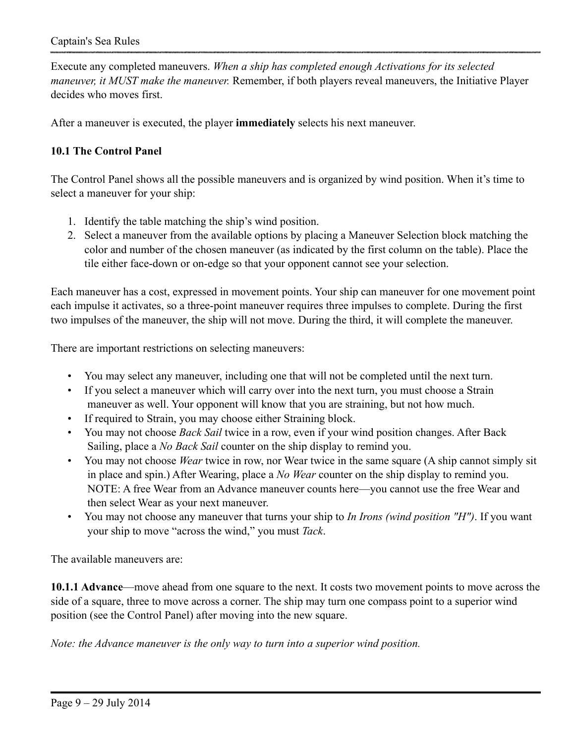Execute any completed maneuvers. *When a ship has completed enough Activations for its selected maneuver, it MUST make the maneuver.* Remember, if both players reveal maneuvers, the Initiative Player decides who moves first.

After a maneuver is executed, the player **immediately** selects his next maneuver.

## **10.1 The Control Panel**

The Control Panel shows all the possible maneuvers and is organized by wind position. When it's time to select a maneuver for your ship:

- 1. Identify the table matching the ship's wind position.
- 2. Select a maneuver from the available options by placing a Maneuver Selection block matching the color and number of the chosen maneuver (as indicated by the first column on the table). Place the tile either face-down or on-edge so that your opponent cannot see your selection.

Each maneuver has a cost, expressed in movement points. Your ship can maneuver for one movement point each impulse it activates, so a three-point maneuver requires three impulses to complete. During the first two impulses of the maneuver, the ship will not move. During the third, it will complete the maneuver.

There are important restrictions on selecting maneuvers:

- You may select any maneuver, including one that will not be completed until the next turn.
- If you select a maneuver which will carry over into the next turn, you must choose a Strain maneuver as well. Your opponent will know that you are straining, but not how much.
- If required to Strain, you may choose either Straining block.
- You may not choose *Back Sail* twice in a row, even if your wind position changes. After Back Sailing, place a *No Back Sail* counter on the ship display to remind you.
- You may not choose *Wear* twice in row, nor Wear twice in the same square (A ship cannot simply sit in place and spin.) After Wearing, place a *No Wear* counter on the ship display to remind you. NOTE: A free Wear from an Advance maneuver counts here—you cannot use the free Wear and then select Wear as your next maneuver.
- You may not choose any maneuver that turns your ship to *In Irons (wind position "H")*. If you want your ship to move "across the wind," you must *Tack*.

The available maneuvers are:

**10.1.1 Advance**—move ahead from one square to the next. It costs two movement points to move across the side of a square, three to move across a corner. The ship may turn one compass point to a superior wind position (see the Control Panel) after moving into the new square.

*Note: the Advance maneuver is the only way to turn into a superior wind position.*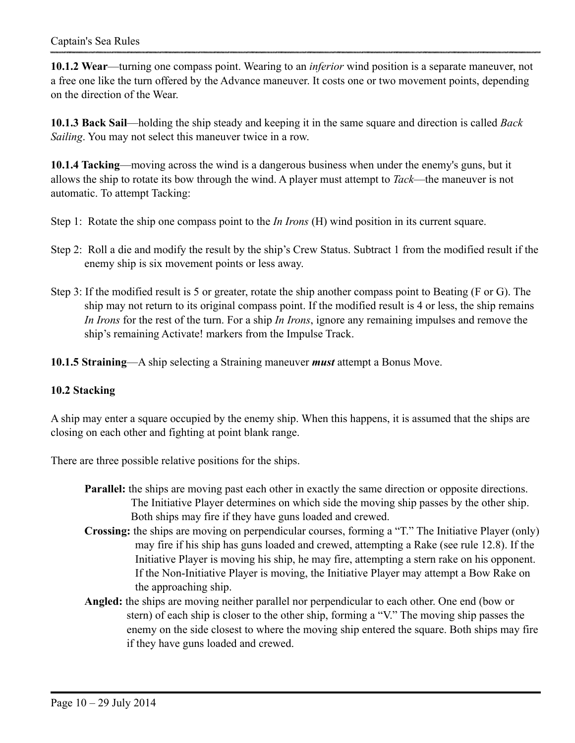**10.1.2 Wear**—turning one compass point. Wearing to an *inferior* wind position is a separate maneuver, not a free one like the turn offered by the Advance maneuver. It costs one or two movement points, depending on the direction of the Wear.

**10.1.3 Back Sail**—holding the ship steady and keeping it in the same square and direction is called *Back Sailing*. You may not select this maneuver twice in a row.

**10.1.4 Tacking**—moving across the wind is a dangerous business when under the enemy's guns, but it allows the ship to rotate its bow through the wind. A player must attempt to *Tack*—the maneuver is not automatic. To attempt Tacking:

- Step 1: Rotate the ship one compass point to the *In Irons* (H) wind position in its current square.
- Step 2: Roll a die and modify the result by the ship's Crew Status. Subtract 1 from the modified result if the enemy ship is six movement points or less away.
- Step 3: If the modified result is 5 or greater, rotate the ship another compass point to Beating (F or G). The ship may not return to its original compass point. If the modified result is 4 or less, the ship remains *In Irons* for the rest of the turn. For a ship *In Irons*, ignore any remaining impulses and remove the ship's remaining Activate! markers from the Impulse Track.

**10.1.5 Straining**—A ship selecting a Straining maneuver *must* attempt a Bonus Move.

#### **10.2 Stacking**

A ship may enter a square occupied by the enemy ship. When this happens, it is assumed that the ships are closing on each other and fighting at point blank range.

There are three possible relative positions for the ships.

- **Parallel:** the ships are moving past each other in exactly the same direction or opposite directions. The Initiative Player determines on which side the moving ship passes by the other ship. Both ships may fire if they have guns loaded and crewed.
- **Crossing:** the ships are moving on perpendicular courses, forming a "T." The Initiative Player (only) may fire if his ship has guns loaded and crewed, attempting a Rake (see rule 12.8). If the Initiative Player is moving his ship, he may fire, attempting a stern rake on his opponent. If the Non-Initiative Player is moving, the Initiative Player may attempt a Bow Rake on the approaching ship.
- **Angled:** the ships are moving neither parallel nor perpendicular to each other. One end (bow or stern) of each ship is closer to the other ship, forming a "V." The moving ship passes the enemy on the side closest to where the moving ship entered the square. Both ships may fire if they have guns loaded and crewed.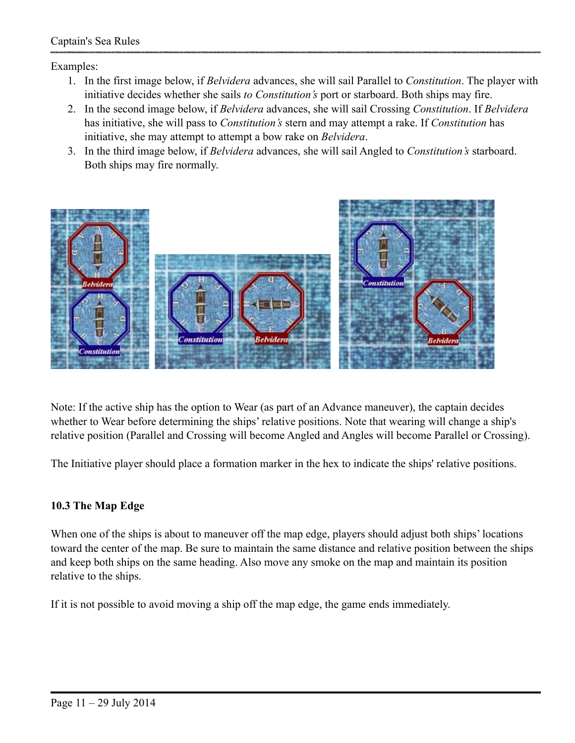Examples:

- 1. In the first image below, if *Belvidera* advances, she will sail Parallel to *Constitution*. The player with initiative decides whether she sails *to Constitution's* port or starboard. Both ships may fire.
- 2. In the second image below, if *Belvidera* advances, she will sail Crossing *Constitution*. If *Belvidera* has initiative, she will pass to *Constitution's* stern and may attempt a rake. If *Constitution* has initiative, she may attempt to attempt a bow rake on *Belvidera*.
- 3. In the third image below, if *Belvidera* advances, she will sail Angled to *Constitution's* starboard. Both ships may fire normally.



Note: If the active ship has the option to Wear (as part of an Advance maneuver), the captain decides whether to Wear before determining the ships' relative positions. Note that wearing will change a ship's relative position (Parallel and Crossing will become Angled and Angles will become Parallel or Crossing).

The Initiative player should place a formation marker in the hex to indicate the ships' relative positions.

## **10.3 The Map Edge**

When one of the ships is about to maneuver off the map edge, players should adjust both ships' locations toward the center of the map. Be sure to maintain the same distance and relative position between the ships and keep both ships on the same heading. Also move any smoke on the map and maintain its position relative to the ships.

If it is not possible to avoid moving a ship off the map edge, the game ends immediately.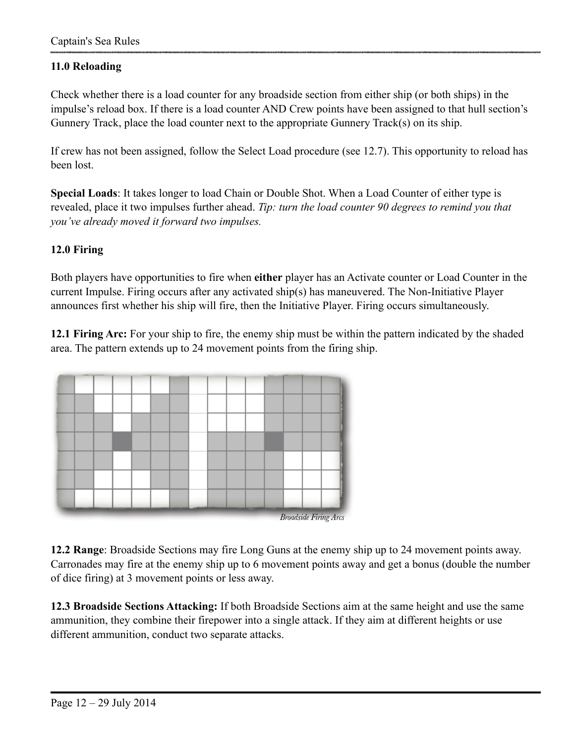## **11.0 Reloading**

Check whether there is a load counter for any broadside section from either ship (or both ships) in the impulse's reload box. If there is a load counter AND Crew points have been assigned to that hull section's Gunnery Track, place the load counter next to the appropriate Gunnery Track(s) on its ship.

If crew has not been assigned, follow the Select Load procedure (see 12.7). This opportunity to reload has been lost.

**Special Loads**: It takes longer to load Chain or Double Shot. When a Load Counter of either type is revealed, place it two impulses further ahead. *Tip: turn the load counter 90 degrees to remind you that you've already moved it forward two impulses.*

## **12.0 Firing**

Both players have opportunities to fire when **either** player has an Activate counter or Load Counter in the current Impulse. Firing occurs after any activated ship(s) has maneuvered. The Non-Initiative Player announces first whether his ship will fire, then the Initiative Player. Firing occurs simultaneously.

**12.1 Firing Arc:** For your ship to fire, the enemy ship must be within the pattern indicated by the shaded area. The pattern extends up to 24 movement points from the firing ship.



**12.2 Range**: Broadside Sections may fire Long Guns at the enemy ship up to 24 movement points away. Carronades may fire at the enemy ship up to 6 movement points away and get a bonus (double the number of dice firing) at 3 movement points or less away.

**12.3 Broadside Sections Attacking:** If both Broadside Sections aim at the same height and use the same ammunition, they combine their firepower into a single attack. If they aim at different heights or use different ammunition, conduct two separate attacks.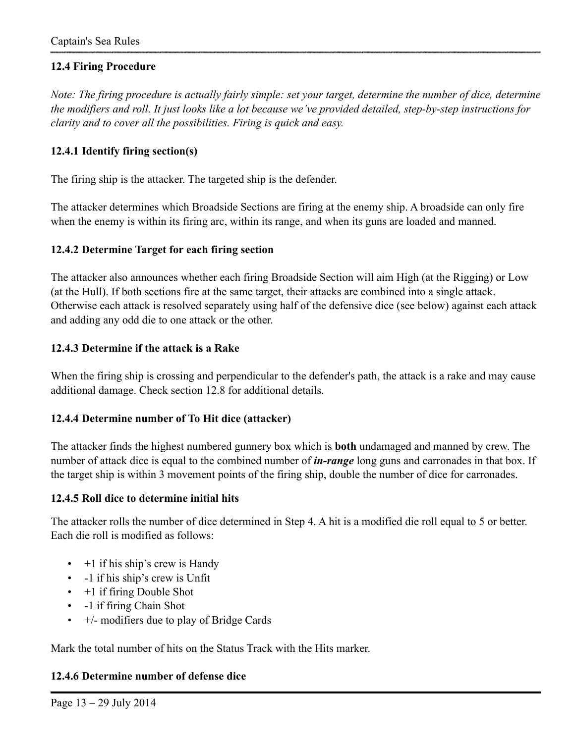## **12.4 Firing Procedure**

*Note: The firing procedure is actually fairly simple: set your target, determine the number of dice, determine the modifiers and roll. It just looks like a lot because we've provided detailed, step-by-step instructions for clarity and to cover all the possibilities. Firing is quick and easy.* 

## **12.4.1 Identify firing section(s)**

The firing ship is the attacker. The targeted ship is the defender.

The attacker determines which Broadside Sections are firing at the enemy ship. A broadside can only fire when the enemy is within its firing arc, within its range, and when its guns are loaded and manned.

#### **12.4.2 Determine Target for each firing section**

The attacker also announces whether each firing Broadside Section will aim High (at the Rigging) or Low (at the Hull). If both sections fire at the same target, their attacks are combined into a single attack. Otherwise each attack is resolved separately using half of the defensive dice (see below) against each attack and adding any odd die to one attack or the other.

## **12.4.3 Determine if the attack is a Rake**

When the firing ship is crossing and perpendicular to the defender's path, the attack is a rake and may cause additional damage. Check section 12.8 for additional details.

#### **12.4.4 Determine number of To Hit dice (attacker)**

The attacker finds the highest numbered gunnery box which is **both** undamaged and manned by crew. The number of attack dice is equal to the combined number of *in-range* long guns and carronades in that box. If the target ship is within 3 movement points of the firing ship, double the number of dice for carronades.

#### **12.4.5 Roll dice to determine initial hits**

The attacker rolls the number of dice determined in Step 4. A hit is a modified die roll equal to 5 or better. Each die roll is modified as follows:

- $\cdot$  +1 if his ship's crew is Handy
- -1 if his ship's crew is Unfit
- $\cdot$  +1 if firing Double Shot
- -1 if firing Chain Shot
- $\bullet$  +/- modifiers due to play of Bridge Cards

Mark the total number of hits on the Status Track with the Hits marker.

## **12.4.6 Determine number of defense dice**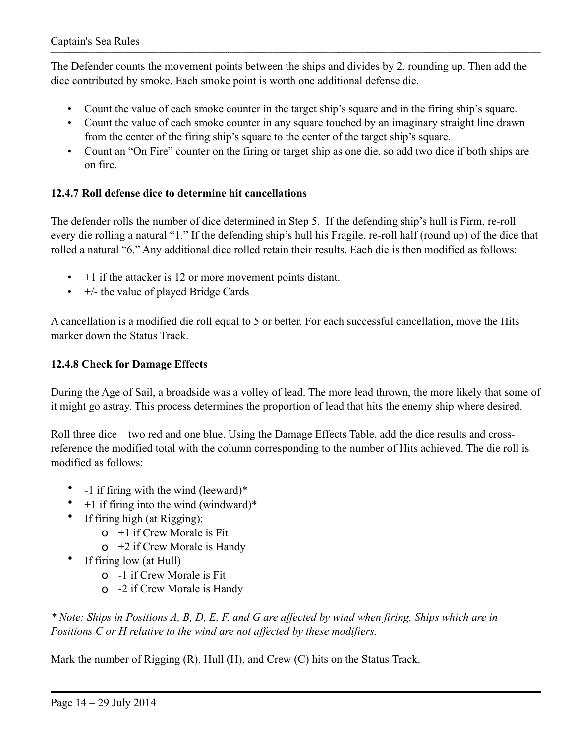The Defender counts the movement points between the ships and divides by 2, rounding up. Then add the dice contributed by smoke. Each smoke point is worth one additional defense die.

- Count the value of each smoke counter in the target ship's square and in the firing ship's square.
- Count the value of each smoke counter in any square touched by an imaginary straight line drawn from the center of the firing ship's square to the center of the target ship's square.
- Count an "On Fire" counter on the firing or target ship as one die, so add two dice if both ships are on fire.

# **12.4.7 Roll defense dice to determine hit cancellations**

The defender rolls the number of dice determined in Step 5. If the defending ship's hull is Firm, re-roll every die rolling a natural "1." If the defending ship's hull his Fragile, re-roll half (round up) of the dice that rolled a natural "6." Any additional dice rolled retain their results. Each die is then modified as follows:

- $\cdot$  +1 if the attacker is 12 or more movement points distant.
- $\cdot$  +/- the value of played Bridge Cards

A cancellation is a modified die roll equal to 5 or better. For each successful cancellation, move the Hits marker down the Status Track.

# **12.4.8 Check for Damage Effects**

During the Age of Sail, a broadside was a volley of lead. The more lead thrown, the more likely that some of it might go astray. This process determines the proportion of lead that hits the enemy ship where desired.

Roll three dice—two red and one blue. Using the Damage Effects Table, add the dice results and crossreference the modified total with the column corresponding to the number of Hits achieved. The die roll is modified as follows:

- -1 if firing with the wind (leeward)\*
- $+1$  if firing into the wind (windward)\*
- If firing high (at Rigging):
	- $\sigma$  +1 if Crew Morale is Fit
	- $\sigma$  +2 if Crew Morale is Handy
- If firing low (at Hull)
	- o -1 if Crew Morale is Fit
	- o -2 if Crew Morale is Handy

*\* Note: Ships in Positions A, B, D, E, F, and G are affected by wind when firing. Ships which are in Positions C or H relative to the wind are not affected by these modifiers.* 

Mark the number of Rigging (R), Hull (H), and Crew (C) hits on the Status Track.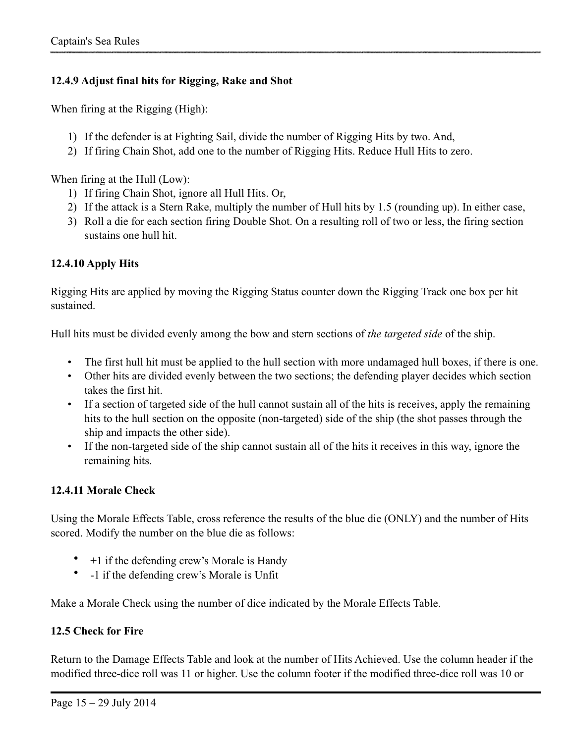## **12.4.9 Adjust final hits for Rigging, Rake and Shot**

When firing at the Rigging (High):

- 1) If the defender is at Fighting Sail, divide the number of Rigging Hits by two. And,
- 2) If firing Chain Shot, add one to the number of Rigging Hits. Reduce Hull Hits to zero.

When firing at the Hull (Low):

- 1) If firing Chain Shot, ignore all Hull Hits. Or,
- 2) If the attack is a Stern Rake, multiply the number of Hull hits by 1.5 (rounding up). In either case,
- 3) Roll a die for each section firing Double Shot. On a resulting roll of two or less, the firing section sustains one hull hit.

## **12.4.10 Apply Hits**

Rigging Hits are applied by moving the Rigging Status counter down the Rigging Track one box per hit sustained.

Hull hits must be divided evenly among the bow and stern sections of *the targeted side* of the ship.

- The first hull hit must be applied to the hull section with more undamaged hull boxes, if there is one.
- Other hits are divided evenly between the two sections; the defending player decides which section takes the first hit.
- If a section of targeted side of the hull cannot sustain all of the hits is receives, apply the remaining hits to the hull section on the opposite (non-targeted) side of the ship (the shot passes through the ship and impacts the other side).
- If the non-targeted side of the ship cannot sustain all of the hits it receives in this way, ignore the remaining hits.

#### **12.4.11 Morale Check**

Using the Morale Effects Table, cross reference the results of the blue die (ONLY) and the number of Hits scored. Modify the number on the blue die as follows:

- $+1$  if the defending crew's Morale is Handy
- -1 if the defending crew's Morale is Unfit

Make a Morale Check using the number of dice indicated by the Morale Effects Table.

#### **12.5 Check for Fire**

Return to the Damage Effects Table and look at the number of Hits Achieved. Use the column header if the modified three-dice roll was 11 or higher. Use the column footer if the modified three-dice roll was 10 or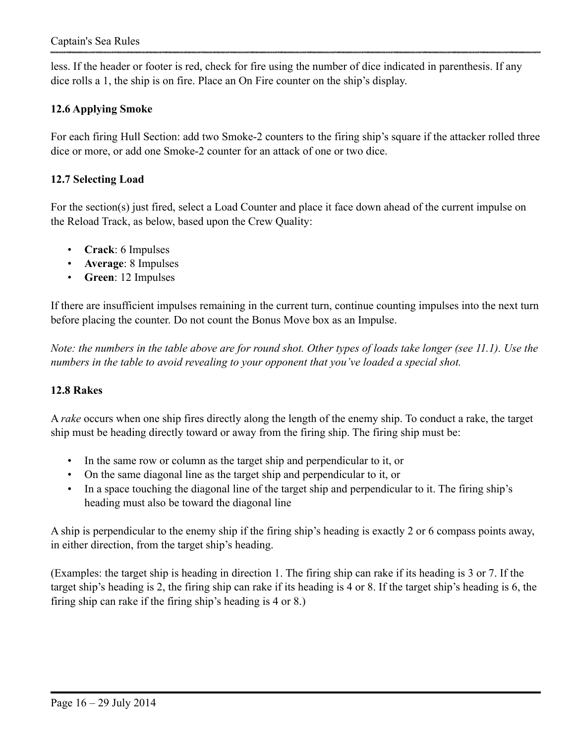less. If the header or footer is red, check for fire using the number of dice indicated in parenthesis. If any dice rolls a 1, the ship is on fire. Place an On Fire counter on the ship's display.

# **12.6 Applying Smoke**

For each firing Hull Section: add two Smoke-2 counters to the firing ship's square if the attacker rolled three dice or more, or add one Smoke-2 counter for an attack of one or two dice.

## **12.7 Selecting Load**

For the section(s) just fired, select a Load Counter and place it face down ahead of the current impulse on the Reload Track, as below, based upon the Crew Quality:

- **Crack**: 6 Impulses
- **Average**: 8 Impulses
- **Green**: 12 Impulses

If there are insufficient impulses remaining in the current turn, continue counting impulses into the next turn before placing the counter. Do not count the Bonus Move box as an Impulse.

*Note: the numbers in the table above are for round shot. Other types of loads take longer (see 11.1). Use the numbers in the table to avoid revealing to your opponent that you've loaded a special shot.* 

#### **12.8 Rakes**

A *rake* occurs when one ship fires directly along the length of the enemy ship. To conduct a rake, the target ship must be heading directly toward or away from the firing ship. The firing ship must be:

- In the same row or column as the target ship and perpendicular to it, or
- On the same diagonal line as the target ship and perpendicular to it, or
- In a space touching the diagonal line of the target ship and perpendicular to it. The firing ship's heading must also be toward the diagonal line

A ship is perpendicular to the enemy ship if the firing ship's heading is exactly 2 or 6 compass points away, in either direction, from the target ship's heading.

(Examples: the target ship is heading in direction 1. The firing ship can rake if its heading is 3 or 7. If the target ship's heading is 2, the firing ship can rake if its heading is 4 or 8. If the target ship's heading is 6, the firing ship can rake if the firing ship's heading is 4 or 8.)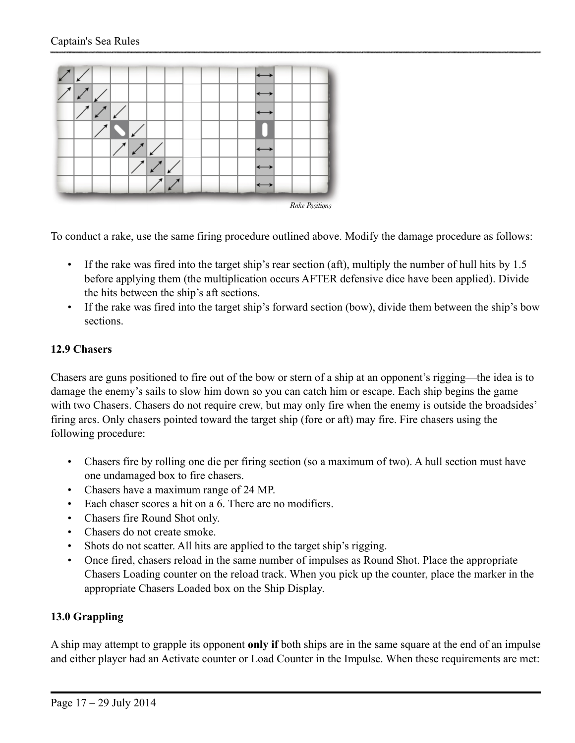

To conduct a rake, use the same firing procedure outlined above. Modify the damage procedure as follows:

- If the rake was fired into the target ship's rear section (aft), multiply the number of hull hits by 1.5 before applying them (the multiplication occurs AFTER defensive dice have been applied). Divide the hits between the ship's aft sections.
- If the rake was fired into the target ship's forward section (bow), divide them between the ship's bow sections.

## **12.9 Chasers**

Chasers are guns positioned to fire out of the bow or stern of a ship at an opponent's rigging—the idea is to damage the enemy's sails to slow him down so you can catch him or escape. Each ship begins the game with two Chasers. Chasers do not require crew, but may only fire when the enemy is outside the broadsides' firing arcs. Only chasers pointed toward the target ship (fore or aft) may fire. Fire chasers using the following procedure:

- Chasers fire by rolling one die per firing section (so a maximum of two). A hull section must have one undamaged box to fire chasers.
- Chasers have a maximum range of 24 MP.
- Each chaser scores a hit on a 6. There are no modifiers.
- Chasers fire Round Shot only.
- Chasers do not create smoke.
- Shots do not scatter. All hits are applied to the target ship's rigging.
- Once fired, chasers reload in the same number of impulses as Round Shot. Place the appropriate Chasers Loading counter on the reload track. When you pick up the counter, place the marker in the appropriate Chasers Loaded box on the Ship Display.

## **13.0 Grappling**

A ship may attempt to grapple its opponent **only if** both ships are in the same square at the end of an impulse and either player had an Activate counter or Load Counter in the Impulse. When these requirements are met: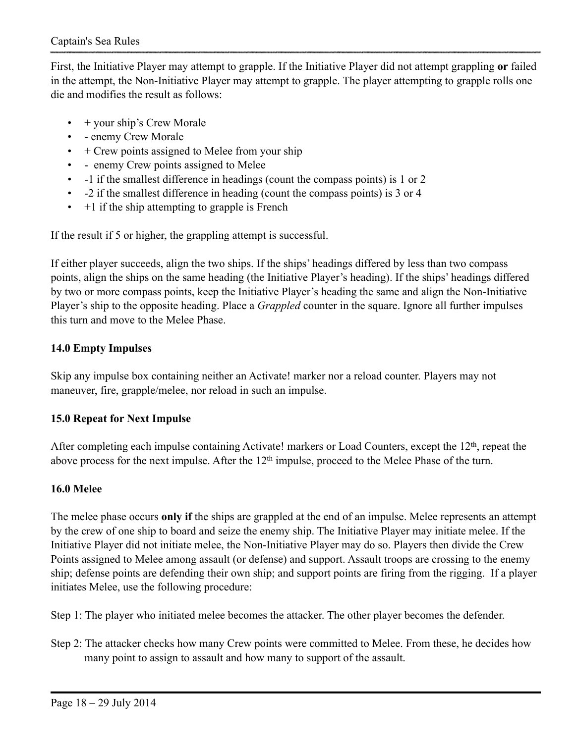First, the Initiative Player may attempt to grapple. If the Initiative Player did not attempt grappling **or** failed in the attempt, the Non-Initiative Player may attempt to grapple. The player attempting to grapple rolls one die and modifies the result as follows:

- $\bullet$  + your ship's Crew Morale
- - enemy Crew Morale
- $\cdot$  + Crew points assigned to Melee from your ship
- - enemy Crew points assigned to Melee
- -1 if the smallest difference in headings (count the compass points) is 1 or 2
- -2 if the smallest difference in heading (count the compass points) is 3 or 4
- $\cdot$  +1 if the ship attempting to grapple is French

If the result if 5 or higher, the grappling attempt is successful.

If either player succeeds, align the two ships. If the ships' headings differed by less than two compass points, align the ships on the same heading (the Initiative Player's heading). If the ships' headings differed by two or more compass points, keep the Initiative Player's heading the same and align the Non-Initiative Player's ship to the opposite heading. Place a *Grappled* counter in the square. Ignore all further impulses this turn and move to the Melee Phase.

## **14.0 Empty Impulses**

Skip any impulse box containing neither an Activate! marker nor a reload counter. Players may not maneuver, fire, grapple/melee, nor reload in such an impulse.

## **15.0 Repeat for Next Impulse**

After completing each impulse containing Activate! markers or Load Counters, except the 12<sup>th</sup>, repeat the above process for the next impulse. After the 12<sup>th</sup> impulse, proceed to the Melee Phase of the turn.

#### **16.0 Melee**

The melee phase occurs **only if** the ships are grappled at the end of an impulse. Melee represents an attempt by the crew of one ship to board and seize the enemy ship. The Initiative Player may initiate melee. If the Initiative Player did not initiate melee, the Non-Initiative Player may do so. Players then divide the Crew Points assigned to Melee among assault (or defense) and support. Assault troops are crossing to the enemy ship; defense points are defending their own ship; and support points are firing from the rigging. If a player initiates Melee, use the following procedure:

Step 1: The player who initiated melee becomes the attacker. The other player becomes the defender.

Step 2: The attacker checks how many Crew points were committed to Melee. From these, he decides how many point to assign to assault and how many to support of the assault.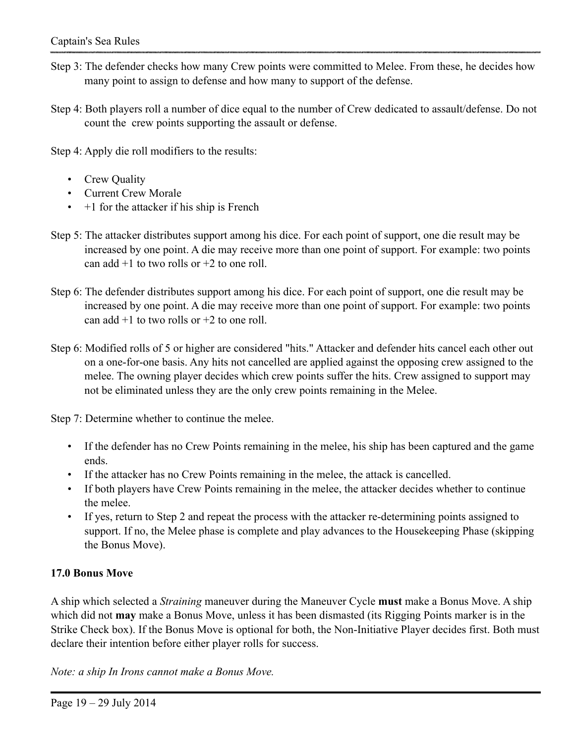- Step 3: The defender checks how many Crew points were committed to Melee. From these, he decides how many point to assign to defense and how many to support of the defense.
- Step 4: Both players roll a number of dice equal to the number of Crew dedicated to assault/defense. Do not count the crew points supporting the assault or defense.

Step 4: Apply die roll modifiers to the results:

- Crew Quality
- Current Crew Morale
- $\cdot$  +1 for the attacker if his ship is French
- Step 5: The attacker distributes support among his dice. For each point of support, one die result may be increased by one point. A die may receive more than one point of support. For example: two points can add  $+1$  to two rolls or  $+2$  to one roll.
- Step 6: The defender distributes support among his dice. For each point of support, one die result may be increased by one point. A die may receive more than one point of support. For example: two points can add  $+1$  to two rolls or  $+2$  to one roll.
- Step 6: Modified rolls of 5 or higher are considered "hits." Attacker and defender hits cancel each other out on a one-for-one basis. Any hits not cancelled are applied against the opposing crew assigned to the melee. The owning player decides which crew points suffer the hits. Crew assigned to support may not be eliminated unless they are the only crew points remaining in the Melee.

Step 7: Determine whether to continue the melee.

- If the defender has no Crew Points remaining in the melee, his ship has been captured and the game ends.
- If the attacker has no Crew Points remaining in the melee, the attack is cancelled.
- If both players have Crew Points remaining in the melee, the attacker decides whether to continue the melee.
- If yes, return to Step 2 and repeat the process with the attacker re-determining points assigned to support. If no, the Melee phase is complete and play advances to the Housekeeping Phase (skipping the Bonus Move).

## **17.0 Bonus Move**

A ship which selected a *Straining* maneuver during the Maneuver Cycle **must** make a Bonus Move. A ship which did not **may** make a Bonus Move, unless it has been dismasted (its Rigging Points marker is in the Strike Check box). If the Bonus Move is optional for both, the Non-Initiative Player decides first. Both must declare their intention before either player rolls for success.

*Note: a ship In Irons cannot make a Bonus Move.*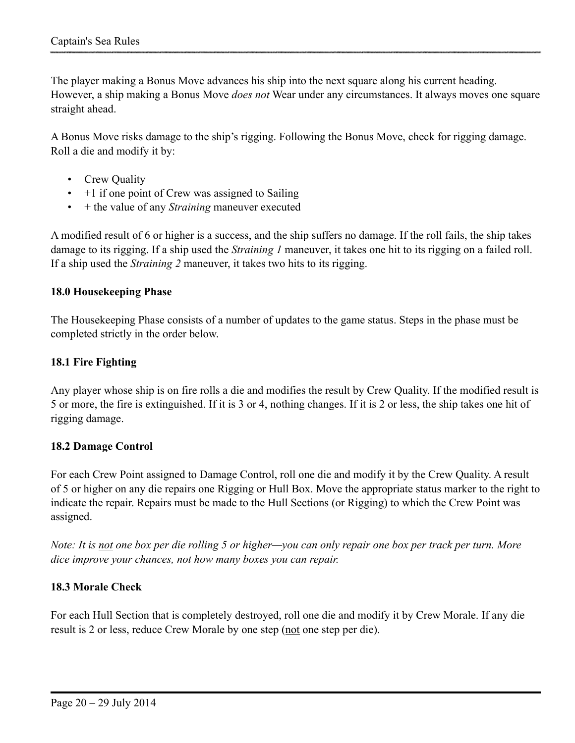The player making a Bonus Move advances his ship into the next square along his current heading. However, a ship making a Bonus Move *does not* Wear under any circumstances. It always moves one square straight ahead.

A Bonus Move risks damage to the ship's rigging. Following the Bonus Move, check for rigging damage. Roll a die and modify it by:

- Crew Quality
- $\cdot$  +1 if one point of Crew was assigned to Sailing
- + the value of any *Straining* maneuver executed

A modified result of 6 or higher is a success, and the ship suffers no damage. If the roll fails, the ship takes damage to its rigging. If a ship used the *Straining 1* maneuver, it takes one hit to its rigging on a failed roll. If a ship used the *Straining 2* maneuver, it takes two hits to its rigging.

#### **18.0 Housekeeping Phase**

The Housekeeping Phase consists of a number of updates to the game status. Steps in the phase must be completed strictly in the order below.

#### **18.1 Fire Fighting**

Any player whose ship is on fire rolls a die and modifies the result by Crew Quality. If the modified result is 5 or more, the fire is extinguished. If it is 3 or 4, nothing changes. If it is 2 or less, the ship takes one hit of rigging damage.

#### **18.2 Damage Control**

For each Crew Point assigned to Damage Control, roll one die and modify it by the Crew Quality. A result of 5 or higher on any die repairs one Rigging or Hull Box. Move the appropriate status marker to the right to indicate the repair. Repairs must be made to the Hull Sections (or Rigging) to which the Crew Point was assigned.

*Note: It is not one box per die rolling 5 or higher—you can only repair one box per track per turn. More dice improve your chances, not how many boxes you can repair.*

#### **18.3 Morale Check**

For each Hull Section that is completely destroyed, roll one die and modify it by Crew Morale. If any die result is 2 or less, reduce Crew Morale by one step (not one step per die).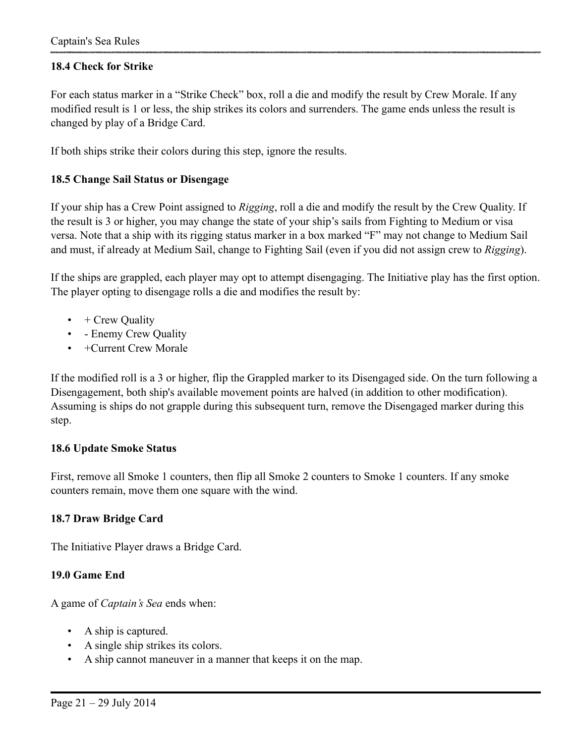## **18.4 Check for Strike**

For each status marker in a "Strike Check" box, roll a die and modify the result by Crew Morale. If any modified result is 1 or less, the ship strikes its colors and surrenders. The game ends unless the result is changed by play of a Bridge Card.

If both ships strike their colors during this step, ignore the results.

#### **18.5 Change Sail Status or Disengage**

If your ship has a Crew Point assigned to *Rigging*, roll a die and modify the result by the Crew Quality. If the result is 3 or higher, you may change the state of your ship's sails from Fighting to Medium or visa versa. Note that a ship with its rigging status marker in a box marked "F" may not change to Medium Sail and must, if already at Medium Sail, change to Fighting Sail (even if you did not assign crew to *Rigging*).

If the ships are grappled, each player may opt to attempt disengaging. The Initiative play has the first option. The player opting to disengage rolls a die and modifies the result by:

- $\bullet$  + Crew Quality
- - Enemy Crew Quality
- +Current Crew Morale

If the modified roll is a 3 or higher, flip the Grappled marker to its Disengaged side. On the turn following a Disengagement, both ship's available movement points are halved (in addition to other modification). Assuming is ships do not grapple during this subsequent turn, remove the Disengaged marker during this step.

#### **18.6 Update Smoke Status**

First, remove all Smoke 1 counters, then flip all Smoke 2 counters to Smoke 1 counters. If any smoke counters remain, move them one square with the wind.

#### **18.7 Draw Bridge Card**

The Initiative Player draws a Bridge Card.

#### **19.0 Game End**

A game of *Captain's Sea* ends when:

- A ship is captured.
- A single ship strikes its colors.
- A ship cannot maneuver in a manner that keeps it on the map.